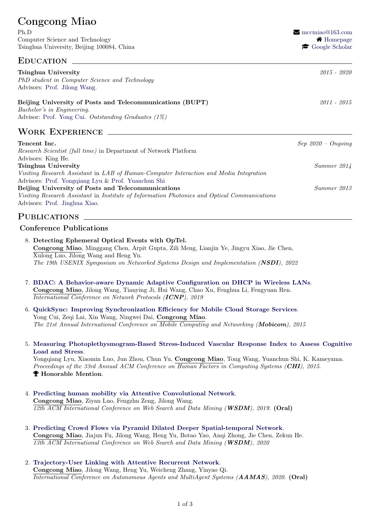# Congcong Miao Ph.D R [mccmiao@163.com](mailto:mccmiao@163.com) Computer Science and Technology **ALCOMENT COMPUTER COMPUTER** Science and Technology Tsinghua University, Beijing 100084, China  $\bullet$  [Google Scholar](https://scholar.google.com/citations?user=MX4DXG0AAAAJ&hl=zh-CN) EDUCATION \_ Tsinghua University 2015 - 2020 PhD student in Computer Science and Technology Advisors: [Prof. Jilong Wang.](https://www.insc.tsinghua.edu.cn/info/1181/1562.htm) Beijing University of Posts and Telecommunications (BUPT) 2011 - 2015 Bachelor's in Engineering. Advisor: [Prof. Yong Cui.](https://www.cs.tsinghua.edu.cn/csen/info/1164/4054.htm) Outstanding Graduates (1%) Work Experience **Tencent Inc.** Sep 2020 – Ongoing Research Scientist (full time) in Department of Network Platform Advisors: King He. Tsinghua University Summer 2014 Visiting Research Assistant in LAB of Human-Computer Interaction and Media Integration Advisors: [Prof. Yongqiang Lyu](https://www.riit.tsinghua.edu.cn/riiten/info/1057/1562.htm) & [Prof. Yuanchun Shi](https://www.cs.tsinghua.edu.cn/csen/info/1180/4037.htm) Beijing University of Posts and Telecommunications Summer 2013 Visiting Research Assistant in Institute of Information Photonics and Optical Communications Advisors: [Prof. Jinghua Xiao.](https://www.researchgate.net/profile/Jinghua-Xiao)

# **PUBLICATIONS**

## Conference Publications

- 8. Detecting Ephemeral Optical Events with OpTel. Congcong Miao, Minggang Chen, Arpit Gupta, Zili Meng, Lianjin Ye, Jingyu Xiao, Jie Chen, Xulong Luo, Jilong Wang and Heng Yu. The 19th USENIX Symposium on Networked Systems Design and Implementation (NSDI), 2022
- 7. [BDAC: A Behavior-aware Dynamic Adaptive Configuration on DHCP in Wireless LANs](https://ieeexplore.ieee.org/document/8888048). Congcong Miao, Jilong Wang, Tianying Ji, Hui Wang, Chao Xu, Fenghua Li, Fengyuan Ren. International Conference on Network Protocols (ICNP), 2019
- 6. [QuickSync: Improving Synchronization Efficiency for Mobile Cloud Storage Services](https://www.sigmobile.org/mobicom/2015/papers/p592-cuiA.pdf). Yong Cui, Zeqi Lai, Xin Wang, Ningwei Dai, Congcong Miao. The 21st Annual International Conference on Mobile Computing and Networking (Mobicom), 2015
- 5. [Measuring Photoplethysmogram-Based Stress-Induced Vascular Response Index to Assess Cognitive](https://dl.acm.org/doi/pdf/10.1145/2702123.2702399) [Load and Stress](https://dl.acm.org/doi/pdf/10.1145/2702123.2702399).

Yongqiang Lyu, Xiaomin Luo, Jun Zhou, Chun Yu, Congcong Miao, Tong Wang, Yuanchun Shi, K. Kameyama. Proceedings of the 33rd Annual ACM Conference on Human Factors in Computing Systems (CHI), 2015.  $\blacktriangledown$  **Honorable Mention.** 

- 4. [Predicting human mobility via Attentive Convolutional Network](https://dl.acm.org/doi/pdf/10.1145/3336191.3371846). Congcong Miao, Ziyan Luo, Fengzhu Zeng, Jilong Wang. 12th ACM International Conference on Web Search and Data Mining (WSDM), 2019. (Oral)
- 3. [Predicting Crowd Flows via Pyramid Dilated Deeper Spatial-temporal Network](https://dl.acm.org/doi/10.1145/3437963.3441785). Congcong Miao, Jiajun Fu, Jilong Wang, Heng Yu, Botao Yao, Anqi Zhong, Jie Chen, Zekun He. 13th ACM International Conference on Web Search and Data Mining (WSDM), 2020
- 2. [Trajectory-User Linking with Attentive Recurrent Network](https://dl.acm.org/doi/10.5555/3398761.3398864). Congcong Miao, Jilong Wang, Heng Yu, Weicheng Zhang, Yinyao Qi. International Conference on Autonomous Agents and MultiAgent Systems (AAMAS), 2020. (Oral)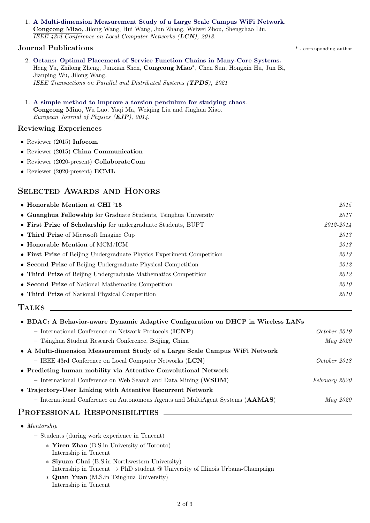#### 1. [A Multi-dimension Measurement Study of a Large Scale Campus WiFi Network](https://ieeexplore.ieee.org/document/8638246). Congcong Miao, Jilong Wang, Hui Wang, Jun Zhang, Weiwei Zhou, Shengchao Liu. IEEE 43rd Conference on Local Computer Networks (LCN), 2018.

## Journal Publications \* - corresponding author

- 2. [Octans: Optimal Placement of Service Function Chains in Many-Core Systems.](https://ieeexplore.ieee.org/document/9369135) Heng Yu, Zhilong Zheng, Junxian Shen, Congcong Miao<sup>∗</sup> , Chen Sun, Hongxin Hu, Jun Bi, Jianping Wu, Jilong Wang. IEEE Transactions on Parallel and Distributed Systems (TPDS), 2021
- 1. [A simple method to improve a torsion pendulum for studying chaos](https://iopscience.iop.org/article/10.1088/0143-0807/35/5/055012/meta). Congcong Miao, Wu Luo, Yaqi Ma, Weiqing Liu and Jinghua Xiao. European Journal of Physics (EJP), 2014.

#### Reviewing Experiences

- Reviewer (2015) Infocom
- Reviewer (2015) China Communication
- Reviewer (2020-present) CollaborateCom
- Reviewer (2020-present) ECML

# SELECTED AWARDS AND HONORS

| • Honorable Mention at CHI '15                                        | 2015      |
|-----------------------------------------------------------------------|-----------|
| • Guanghua Fellowship for Graduate Students, Tsinghua University      | 2017      |
| • First Prize of Scholarship for undergraduate Students, BUPT         | 2012-2014 |
| • Third Prize of Microsoft Imagine Cup                                | 2013      |
| $\bullet$ Honorable Mention of MCM/ICM                                | 2013      |
| • First Prize of Beijing Undergraduate Physics Experiment Competition | 2013      |
| • Second Prize of Beijing Undergraduate Physical Competition          | 2012      |
| • Third Prize of Beijing Undergraduate Mathematics Competition        | 2012      |
| • Second Prize of National Mathematics Competition                    | 2010      |
| • Third Prize of National Physical Competition                        |           |

### Talks

| • BDAC: A Behavior-aware Dynamic Adaptive Configuration on DHCP in Wireless LANs |                 |
|----------------------------------------------------------------------------------|-----------------|
| - International Conference on Network Protocols (ICNP)                           | October 2019    |
| - Tsinghua Student Research Conference, Beijing, China                           | May 2020        |
| • A Multi-dimension Measurement Study of a Large Scale Campus WiFi Network       |                 |
| - IEEE 43rd Conference on Local Computer Networks $(LCN)$                        | October 2018    |
| • Predicting human mobility via Attentive Convolutional Network                  |                 |
| - International Conference on Web Search and Data Mining (WSDM)                  | February 2020   |
| • Trajectory-User Linking with Attentive Recurrent Network                       |                 |
| - International Conference on Autonomous Agents and MultiAgent Systems (AAMAS)   | <i>May 2020</i> |
| PROFESSIONAL RESPONSIBILITIES                                                    |                 |

|  | Mentorship |  |
|--|------------|--|
|--|------------|--|

- Students (during work experience in Tencent)
	- ∗ Yiren Zhao (B.S.in University of Toronto) Internship in Tencent
	- ∗ Siyuan Chai (B.S.in Northwestern University) Internship in Tencent  $\rightarrow$  PhD student @ University of Illinois Urbana-Champaign
	- ∗ Quan Yuan (M.S.in Tsinghua University) Internship in Tencent